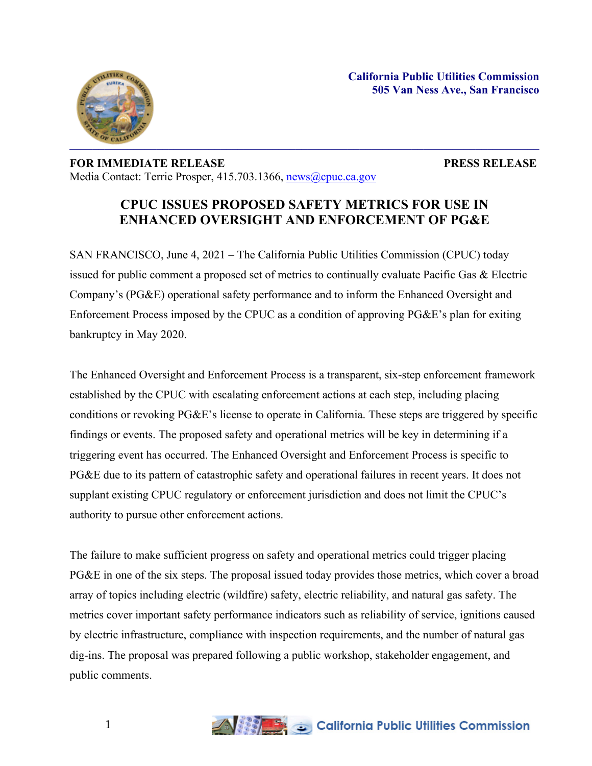



## **FOR IMMEDIATE RELEASE PRESS RELEASE** Media Contact: Terrie Prosper, 415.703.1366, [news@cpuc.ca.gov](mailto:news@cpuc.ca.gov)

## **CPUC ISSUES PROPOSED SAFETY METRICS FOR USE IN ENHANCED OVERSIGHT AND ENFORCEMENT OF PG&E**

SAN FRANCISCO, June 4, 2021 – The California Public Utilities Commission (CPUC) today issued for public comment a proposed set of metrics to continually evaluate Pacific Gas & Electric Company's (PG&E) operational safety performance and to inform the Enhanced Oversight and Enforcement Process imposed by the CPUC as a condition of approving PG&E's plan for exiting bankruptcy in May 2020.

The Enhanced Oversight and Enforcement Process is a transparent, six-step enforcement framework established by the CPUC with escalating enforcement actions at each step, including placing conditions or revoking PG&E's license to operate in California. These steps are triggered by specific findings or events. The proposed safety and operational metrics will be key in determining if a triggering event has occurred. The Enhanced Oversight and Enforcement Process is specific to PG&E due to its pattern of catastrophic safety and operational failures in recent years. It does not supplant existing CPUC regulatory or enforcement jurisdiction and does not limit the CPUC's authority to pursue other enforcement actions.

The failure to make sufficient progress on safety and operational metrics could trigger placing PG&E in one of the six steps. The proposal issued today provides those metrics, which cover a broad array of topics including electric (wildfire) safety, electric reliability, and natural gas safety. The metrics cover important safety performance indicators such as reliability of service, ignitions caused by electric infrastructure, compliance with inspection requirements, and the number of natural gas dig-ins. The proposal was prepared following a public workshop, stakeholder engagement, and public comments.